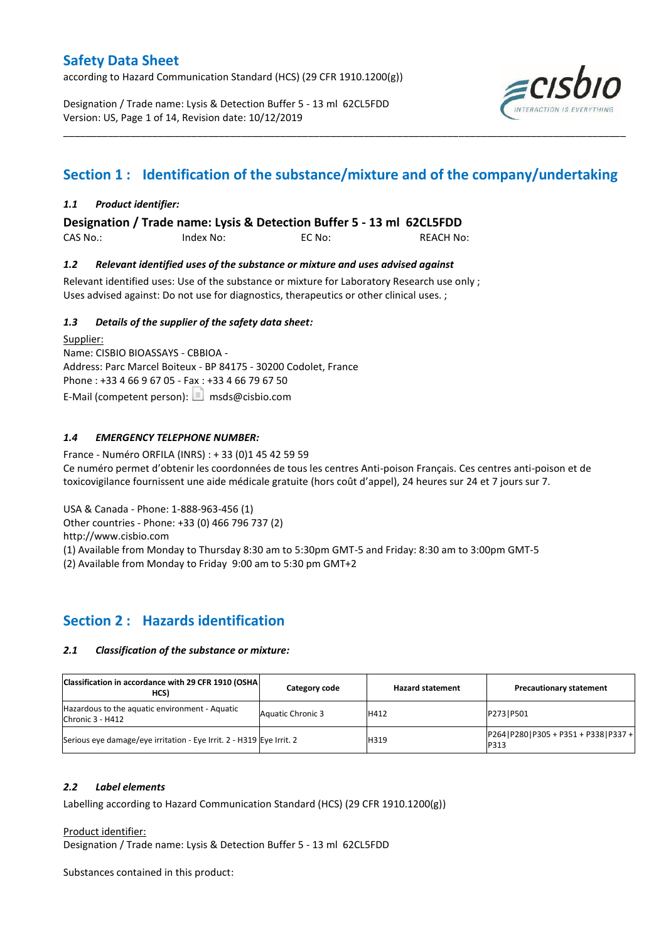according to Hazard Communication Standard (HCS) (29 CFR 1910.1200(g))

Designation / Trade name: Lysis & Detection Buffer 5 - 13 ml 62CL5FDD Version: US, Page 1 of 14, Revision date: 10/12/2019



## **Section 1 : Identification of the substance/mixture and of the company/undertaking**

\_\_\_\_\_\_\_\_\_\_\_\_\_\_\_\_\_\_\_\_\_\_\_\_\_\_\_\_\_\_\_\_\_\_\_\_\_\_\_\_\_\_\_\_\_\_\_\_\_\_\_\_\_\_\_\_\_\_\_\_\_\_\_\_\_\_\_\_\_\_\_\_\_\_\_\_\_\_\_\_\_\_\_\_\_\_\_\_\_\_\_\_\_\_\_\_\_\_\_\_\_

## *1.1 Product identifier:*

**Designation / Trade name: Lysis & Detection Buffer 5 - 13 ml 62CL5FDD** 

CAS No.: Index No: EC No: REACH No:

### *1.2 Relevant identified uses of the substance or mixture and uses advised against*

Relevant identified uses: Use of the substance or mixture for Laboratory Research use only ; Uses advised against: Do not use for diagnostics, therapeutics or other clinical uses. ;

### *1.3 Details of the supplier of the safety data sheet:*

Supplier: Name: CISBIO BIOASSAYS - CBBIOA - Address: Parc Marcel Boiteux - BP 84175 - 30200 Codolet, France Phone : +33 4 66 9 67 05 - Fax : +33 4 66 79 67 50 E-Mail (competent person):  $\boxed{\equiv}$  msds@cisbio.com

## *1.4 EMERGENCY TELEPHONE NUMBER:*

France - Numéro ORFILA (INRS) : + 33 (0)1 45 42 59 59 Ce numéro permet d'obtenir les coordonnées de tous les centres Anti-poison Français. Ces centres anti-poison et de toxicovigilance fournissent une aide médicale gratuite (hors coût d'appel), 24 heures sur 24 et 7 jours sur 7.

USA & Canada - Phone: 1-888-963-456 (1)

Other countries - Phone: +33 (0) 466 796 737 (2)

http://www.cisbio.com

(1) Available from Monday to Thursday 8:30 am to 5:30pm GMT-5 and Friday: 8:30 am to 3:00pm GMT-5

(2) Available from Monday to Friday 9:00 am to 5:30 pm GMT+2

## **Section 2 : Hazards identification**

#### *2.1 Classification of the substance or mixture:*

| Classification in accordance with 29 CFR 1910 (OSHA<br>HCS)          | Category code            | <b>Hazard statement</b> | <b>Precautionary statement</b>                    |  |
|----------------------------------------------------------------------|--------------------------|-------------------------|---------------------------------------------------|--|
| Hazardous to the aquatic environment - Aquatic<br>Chronic 3 - H412   | <b>Aquatic Chronic 3</b> | H412                    | P273   P501                                       |  |
| Serious eye damage/eye irritation - Eye Irrit. 2 - H319 Eye Irrit. 2 |                          | H319                    | P264   P280   P305 + P351 + P338   P337 +<br>P313 |  |

### *2.2 Label elements*

Labelling according to Hazard Communication Standard (HCS) (29 CFR 1910.1200(g))

Product identifier:

Designation / Trade name: Lysis & Detection Buffer 5 - 13 ml 62CL5FDD

Substances contained in this product: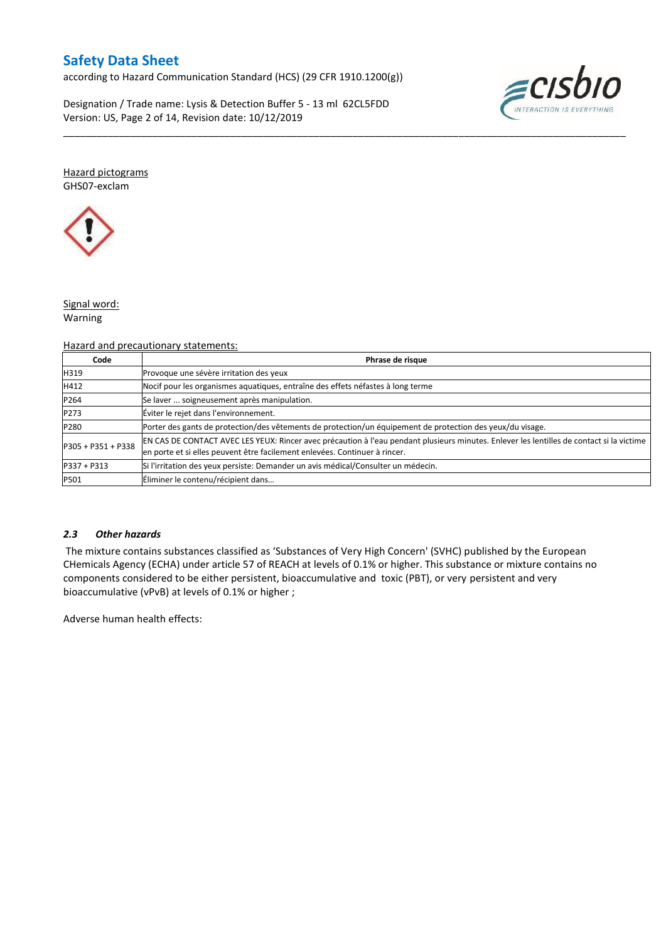according to Hazard Communication Standard (HCS) (29 CFR 1910.1200(g))

Designation / Trade name: Lysis & Detection Buffer 5 - 13 ml 62CL5FDD Version: US, Page 2 of 14, Revision date: 10/12/2019



Hazard pictograms GHS07-exclam



### Signal word: Warning

## Hazard and precautionary statements:

| Code               | Phrase de risque                                                                                                                                                                                                        |
|--------------------|-------------------------------------------------------------------------------------------------------------------------------------------------------------------------------------------------------------------------|
| H319               | Provoque une sévère irritation des yeux                                                                                                                                                                                 |
| H412               | Nocif pour les organismes aquatiques, entraîne des effets néfastes à long terme                                                                                                                                         |
| P264               | Se laver  soigneusement après manipulation.                                                                                                                                                                             |
| P273               | Éviter le rejet dans l'environnement.                                                                                                                                                                                   |
| P280               | Porter des gants de protection/des vêtements de protection/un équipement de protection des yeux/du visage.                                                                                                              |
| P305 + P351 + P338 | EN CAS DE CONTACT AVEC LES YEUX: Rincer avec précaution à l'eau pendant plusieurs minutes. Enlever les lentilles de contact si la victime<br>en porte et si elles peuvent être facilement enlevées. Continuer à rincer. |
| $P337 + P313$      | Si l'irritation des yeux persiste: Demander un avis médical/Consulter un médecin.                                                                                                                                       |
| P501               | Éliminer le contenu/récipient dans                                                                                                                                                                                      |

\_\_\_\_\_\_\_\_\_\_\_\_\_\_\_\_\_\_\_\_\_\_\_\_\_\_\_\_\_\_\_\_\_\_\_\_\_\_\_\_\_\_\_\_\_\_\_\_\_\_\_\_\_\_\_\_\_\_\_\_\_\_\_\_\_\_\_\_\_\_\_\_\_\_\_\_\_\_\_\_\_\_\_\_\_\_\_\_\_\_\_\_\_\_\_\_\_\_\_\_\_

### *2.3 Other hazards*

The mixture contains substances classified as 'Substances of Very High Concern' (SVHC) published by the European CHemicals Agency (ECHA) under article 57 of REACH at levels of 0.1% or higher. This substance or mixture contains no components considered to be either persistent, bioaccumulative and toxic (PBT), or very persistent and very bioaccumulative (vPvB) at levels of 0.1% or higher ;

Adverse human health effects: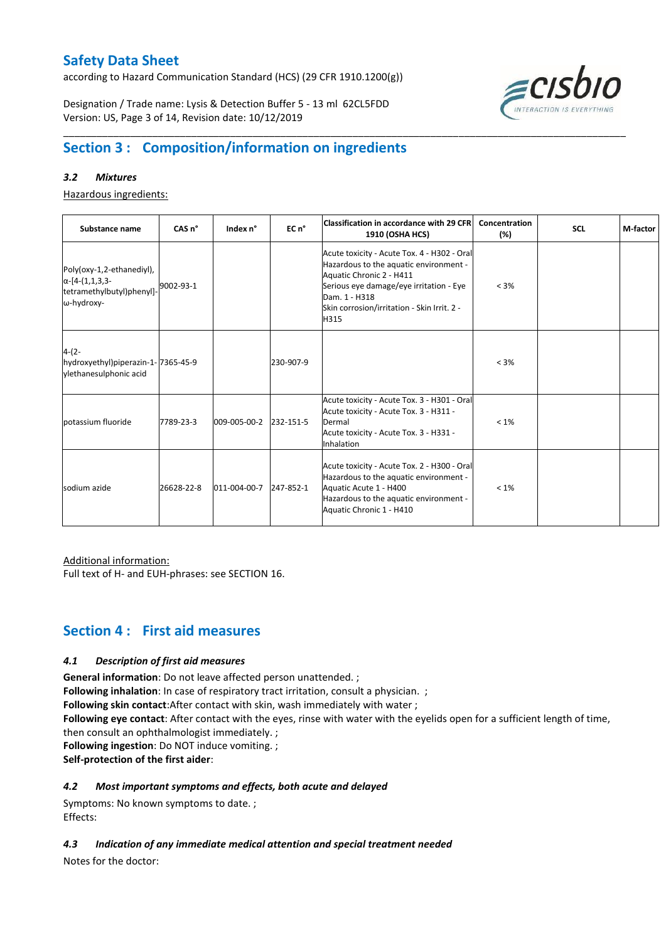according to Hazard Communication Standard (HCS) (29 CFR 1910.1200(g))

Designation / Trade name: Lysis & Detection Buffer 5 - 13 ml 62CL5FDD Version: US, Page 3 of 14, Revision date: 10/12/2019



## **Section 3 : Composition/information on ingredients**

### *3.2 Mixtures*

Hazardous ingredients:

| Substance name                                                                                 | CAS <sub>n</sub> ° | Index n°     | EC n°     | <b>Classification in accordance with 29 CFR</b><br><b>1910 (OSHA HCS)</b>                                                                                                                                                            | Concentration<br>(%) | <b>SCL</b> | M-factor |
|------------------------------------------------------------------------------------------------|--------------------|--------------|-----------|--------------------------------------------------------------------------------------------------------------------------------------------------------------------------------------------------------------------------------------|----------------------|------------|----------|
| Poly(oxy-1,2-ethanediyl),<br>$\alpha$ -[4-(1,1,3,3-<br>tetramethylbutyl)phenyl]-<br>ω-hydroxy- | 9002-93-1          |              |           | Acute toxicity - Acute Tox. 4 - H302 - Oral<br>Hazardous to the aquatic environment -<br>Aquatic Chronic 2 - H411<br>Serious eye damage/eye irritation - Eye<br>Dam. 1 - H318<br>Skin corrosion/irritation - Skin Irrit. 2 -<br>H315 | $< 3\%$              |            |          |
| $4-(2-$<br>hydroxyethyl)piperazin-1-7365-45-9<br>ylethanesulphonic acid                        |                    |              | 230-907-9 |                                                                                                                                                                                                                                      | < 3%                 |            |          |
| potassium fluoride                                                                             | 7789-23-3          | 009-005-00-2 | 232-151-5 | Acute toxicity - Acute Tox. 3 - H301 - Oral<br>Acute toxicity - Acute Tox. 3 - H311 -<br>Dermal<br>Acute toxicity - Acute Tox. 3 - H331 -<br>Inhalation                                                                              | $< 1\%$              |            |          |
| sodium azide                                                                                   | 26628-22-8         | 011-004-00-7 | 247-852-1 | Acute toxicity - Acute Tox. 2 - H300 - Oral<br>Hazardous to the aquatic environment -<br>Aquatic Acute 1 - H400<br>Hazardous to the aquatic environment -<br>Aquatic Chronic 1 - H410                                                | $< 1\%$              |            |          |

\_\_\_\_\_\_\_\_\_\_\_\_\_\_\_\_\_\_\_\_\_\_\_\_\_\_\_\_\_\_\_\_\_\_\_\_\_\_\_\_\_\_\_\_\_\_\_\_\_\_\_\_\_\_\_\_\_\_\_\_\_\_\_\_\_\_\_\_\_\_\_\_\_\_\_\_\_\_\_\_\_\_\_\_\_\_\_\_\_\_\_\_\_\_\_\_\_\_\_\_\_

Additional information:

Full text of H- and EUH-phrases: see SECTION 16.

## **Section 4 : First aid measures**

## *4.1 Description of first aid measures*

**General information**: Do not leave affected person unattended. ;

**Following inhalation**: In case of respiratory tract irritation, consult a physician. ;

**Following skin contact**:After contact with skin, wash immediately with water ;

**Following eye contact**: After contact with the eyes, rinse with water with the eyelids open for a sufficient length of time, then consult an ophthalmologist immediately. ;

**Following ingestion**: Do NOT induce vomiting. ;

**Self-protection of the first aider**:

## *4.2 Most important symptoms and effects, both acute and delayed*

Symptoms: No known symptoms to date. ; Effects:

*4.3 Indication of any immediate medical attention and special treatment needed*

Notes for the doctor: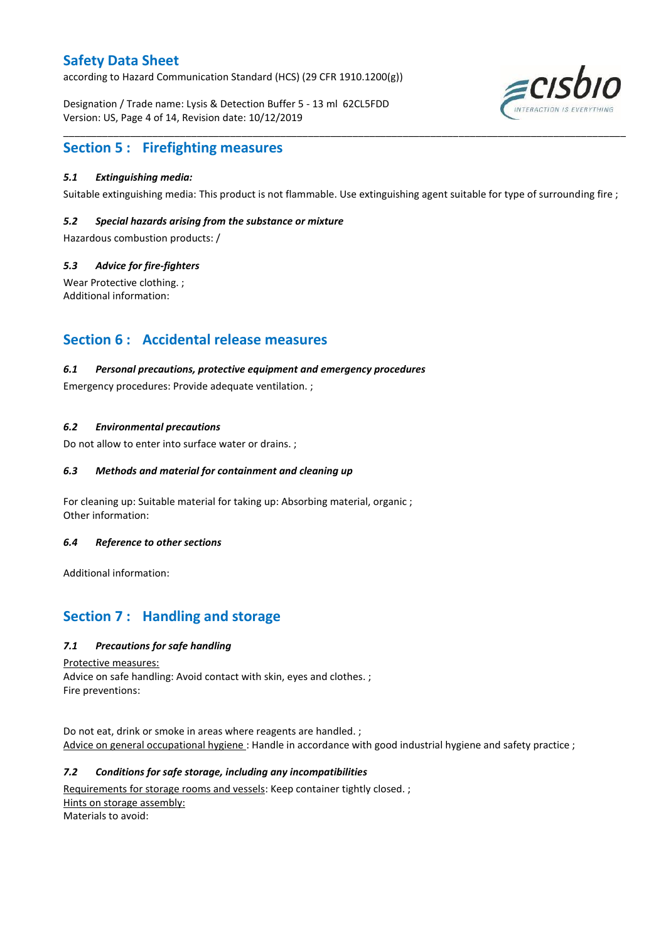according to Hazard Communication Standard (HCS) (29 CFR 1910.1200(g))

Designation / Trade name: Lysis & Detection Buffer 5 - 13 ml 62CL5FDD Version: US, Page 4 of 14, Revision date: 10/12/2019



## **Section 5 : Firefighting measures**

### *5.1 Extinguishing media:*

Suitable extinguishing media: This product is not flammable. Use extinguishing agent suitable for type of surrounding fire ;

\_\_\_\_\_\_\_\_\_\_\_\_\_\_\_\_\_\_\_\_\_\_\_\_\_\_\_\_\_\_\_\_\_\_\_\_\_\_\_\_\_\_\_\_\_\_\_\_\_\_\_\_\_\_\_\_\_\_\_\_\_\_\_\_\_\_\_\_\_\_\_\_\_\_\_\_\_\_\_\_\_\_\_\_\_\_\_\_\_\_\_\_\_\_\_\_\_\_\_\_\_

### *5.2 Special hazards arising from the substance or mixture*

Hazardous combustion products: /

#### *5.3 Advice for fire-fighters*

Wear Protective clothing. ; Additional information:

## **Section 6 : Accidental release measures**

#### *6.1 Personal precautions, protective equipment and emergency procedures*

Emergency procedures: Provide adequate ventilation. ;

#### *6.2 Environmental precautions*

Do not allow to enter into surface water or drains. ;

### *6.3 Methods and material for containment and cleaning up*

For cleaning up: Suitable material for taking up: Absorbing material, organic ; Other information:

#### *6.4 Reference to other sections*

Additional information:

## **Section 7 : Handling and storage**

#### *7.1 Precautions for safe handling*

Protective measures:

Advice on safe handling: Avoid contact with skin, eyes and clothes. ; Fire preventions:

Do not eat, drink or smoke in areas where reagents are handled. ; Advice on general occupational hygiene: Handle in accordance with good industrial hygiene and safety practice ;

#### *7.2 Conditions for safe storage, including any incompatibilities*

Requirements for storage rooms and vessels: Keep container tightly closed.; Hints on storage assembly: Materials to avoid: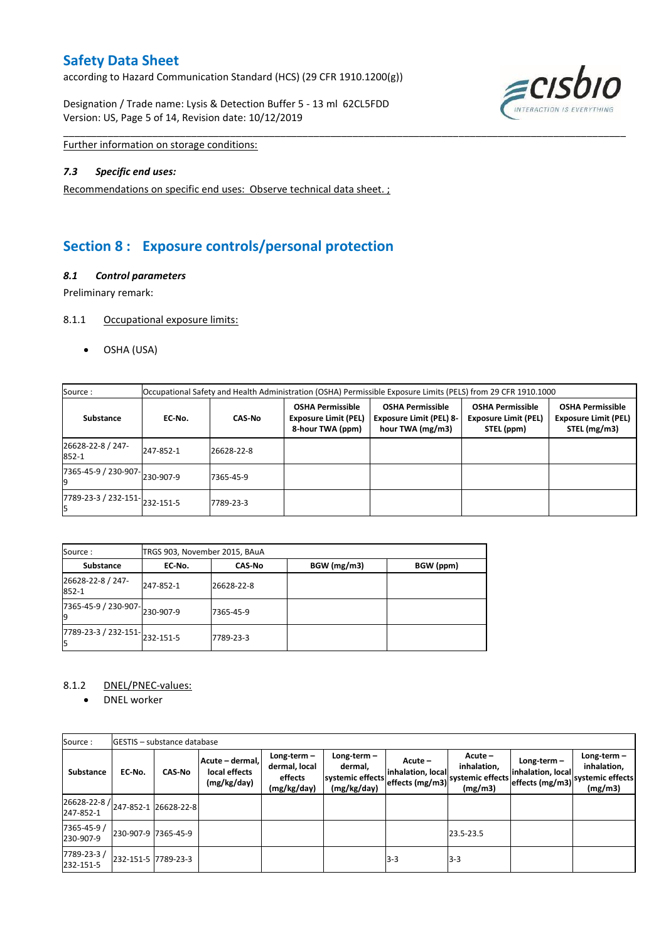according to Hazard Communication Standard (HCS) (29 CFR 1910.1200(g))

Designation / Trade name: Lysis & Detection Buffer 5 - 13 ml 62CL5FDD Version: US, Page 5 of 14, Revision date: 10/12/2019



Further information on storage conditions:

#### *7.3 Specific end uses:*

Recommendations on specific end uses: Observe technical data sheet. ;

## **Section 8 : Exposure controls/personal protection**

### *8.1 Control parameters*

Preliminary remark:

#### 8.1.1 Occupational exposure limits:

OSHA (USA)

| Source:                    | Occupational Safety and Health Administration (OSHA) Permissible Exposure Limits (PELS) from 29 CFR 1910.1000 |               |                                                                            |                                                                               |                                                                      |                                                                        |  |  |  |  |  |
|----------------------------|---------------------------------------------------------------------------------------------------------------|---------------|----------------------------------------------------------------------------|-------------------------------------------------------------------------------|----------------------------------------------------------------------|------------------------------------------------------------------------|--|--|--|--|--|
| Substance                  | EC No.                                                                                                        | <b>CAS-No</b> | <b>OSHA Permissible</b><br><b>Exposure Limit (PEL)</b><br>8-hour TWA (ppm) | <b>OSHA Permissible</b><br><b>Exposure Limit (PEL) 8-</b><br>hour TWA (mg/m3) | <b>OSHA Permissible</b><br><b>Exposure Limit (PEL)</b><br>STEL (ppm) | <b>OSHA Permissible</b><br><b>Exposure Limit (PEL)</b><br>STEL (mg/m3) |  |  |  |  |  |
| 26628-22-8 / 247-<br>852-1 | 247-852-1                                                                                                     | 26628-22-8    |                                                                            |                                                                               |                                                                      |                                                                        |  |  |  |  |  |
| 7365-45-9 / 230-907-       | 230-907-9                                                                                                     | 7365-45-9     |                                                                            |                                                                               |                                                                      |                                                                        |  |  |  |  |  |
| 7789-23-3 / 232-151-       | 232-151-5                                                                                                     | 7789-23-3     |                                                                            |                                                                               |                                                                      |                                                                        |  |  |  |  |  |

\_\_\_\_\_\_\_\_\_\_\_\_\_\_\_\_\_\_\_\_\_\_\_\_\_\_\_\_\_\_\_\_\_\_\_\_\_\_\_\_\_\_\_\_\_\_\_\_\_\_\_\_\_\_\_\_\_\_\_\_\_\_\_\_\_\_\_\_\_\_\_\_\_\_\_\_\_\_\_\_\_\_\_\_\_\_\_\_\_\_\_\_\_\_\_\_\_\_\_\_\_

| Source:                                             | TRGS 903, November 2015, BAuA |               |             |           |  |  |  |  |  |  |
|-----------------------------------------------------|-------------------------------|---------------|-------------|-----------|--|--|--|--|--|--|
| <b>Substance</b>                                    | EC-No.                        | <b>CAS-No</b> | BGW (mg/m3) | BGW (ppm) |  |  |  |  |  |  |
| 26628-22-8 / 247-<br>852-1                          | 247-852-1                     | 26628-22-8    |             |           |  |  |  |  |  |  |
| $\frac{1}{7365-45-9}$ / 230-907-<br>230-907-9<br>19 |                               | 7365-45-9     |             |           |  |  |  |  |  |  |
| $\frac{1}{7789-23-3}$ / 232-151-<br>232-151-5<br>l5 |                               | 7789-23-3     |             |           |  |  |  |  |  |  |

### 8.1.2 DNEL/PNEC-values:

• DNEL worker

| Source:                                                               |                     | <b>IGESTIS – substance database</b> |                                                 |                                                          |                                                          |                                                 |                                                       |                                    |                                                                               |
|-----------------------------------------------------------------------|---------------------|-------------------------------------|-------------------------------------------------|----------------------------------------------------------|----------------------------------------------------------|-------------------------------------------------|-------------------------------------------------------|------------------------------------|-------------------------------------------------------------------------------|
| <b>Substance</b>                                                      | EC No.              | <b>CAS-No</b>                       | Acute - dermal,<br>local effects<br>(mg/kg/day) | Long-term $-$<br>dermal, local<br>effects<br>(mg/kg/day) | Long-term-<br>dermal,<br>systemic effects<br>(mg/kg/day) | Acute -<br>inhalation, local<br>effects (mg/m3) | Acute -<br>inhalation,<br>systemic effects<br>(mg/m3) | Long-term $-$<br>inhalation, local | Long-term $-$<br>inhalation,<br>" effects (mg/m3) systemic effects<br>(mg/m3) |
| $\left  \frac{26628-22-8}{247-852-1} \right $ 26628-22-8<br>247-852-1 |                     |                                     |                                                 |                                                          |                                                          |                                                 |                                                       |                                    |                                                                               |
| 7365-45-9 /<br>230-907-9                                              | 230-907-9 7365-45-9 |                                     |                                                 |                                                          |                                                          |                                                 | 23.5-23.5                                             |                                    |                                                                               |
| 7789-23-3/<br>232-151-5                                               | 232-151-5 7789-23-3 |                                     |                                                 |                                                          |                                                          | $3-3$                                           | $3 - 3$                                               |                                    |                                                                               |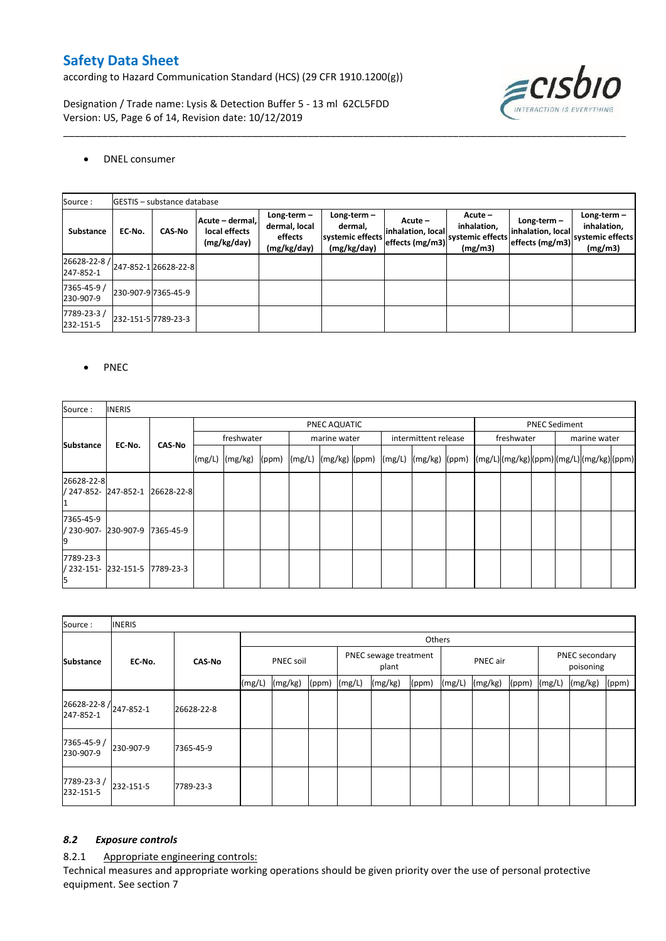according to Hazard Communication Standard (HCS) (29 CFR 1910.1200(g))

Designation / Trade name: Lysis & Detection Buffer 5 - 13 ml 62CL5FDD Version: US, Page 6 of 14, Revision date: 10/12/2019



## DNEL consumer

| Source:                   |        | <b>GESTIS</b> - substance database |                                                 |                                                          |                                                             |                                                 |                                                      |                                                       |                                                             |  |  |  |  |
|---------------------------|--------|------------------------------------|-------------------------------------------------|----------------------------------------------------------|-------------------------------------------------------------|-------------------------------------------------|------------------------------------------------------|-------------------------------------------------------|-------------------------------------------------------------|--|--|--|--|
| Substance                 | EC-No. | <b>CAS-No</b>                      | Acute – dermal,<br>local effects<br>(mg/kg/day) | Long-term $-$<br>dermal, local<br>effects<br>(mg/kg/day) | Long-term $-$<br>dermal,<br>systemic effects<br>(mg/kg/day) | Acute -<br>inhalation, local<br>effects (mg/m3) | Acute-<br>inhalation,<br>systemic effects<br>(mg/m3) | Long-term $-$<br>inhalation, local<br>effects (mg/m3) | Long-term $-$<br>inhalation,<br>systemic effects<br>(mg/m3) |  |  |  |  |
| 26628-22-8 /<br>247-852-1 |        | 247-852-126628-22-8                |                                                 |                                                          |                                                             |                                                 |                                                      |                                                       |                                                             |  |  |  |  |
| 7365-45-9 /<br>230-907-9  |        | 230-907-9 7365-45-9                |                                                 |                                                          |                                                             |                                                 |                                                      |                                                       |                                                             |  |  |  |  |
| 7789-23-3/<br>232-151-5   |        | 232-151-5 7789-23-3                |                                                 |                                                          |                                                             |                                                 |                                                      |                                                       |                                                             |  |  |  |  |

\_\_\_\_\_\_\_\_\_\_\_\_\_\_\_\_\_\_\_\_\_\_\_\_\_\_\_\_\_\_\_\_\_\_\_\_\_\_\_\_\_\_\_\_\_\_\_\_\_\_\_\_\_\_\_\_\_\_\_\_\_\_\_\_\_\_\_\_\_\_\_\_\_\_\_\_\_\_\_\_\_\_\_\_\_\_\_\_\_\_\_\_\_\_\_\_\_\_\_\_\_

#### PNEC

| Source :                                         | <b>INERIS</b> |                                 |                    |  |  |              |  |  |                                                                                                                                                                                                       |  |                      |              |  |  |
|--------------------------------------------------|---------------|---------------------------------|--------------------|--|--|--------------|--|--|-------------------------------------------------------------------------------------------------------------------------------------------------------------------------------------------------------|--|----------------------|--------------|--|--|
|                                                  |               |                                 | PNEC AQUATIC       |  |  |              |  |  |                                                                                                                                                                                                       |  | <b>PNEC Sediment</b> |              |  |  |
| <b>Substance</b>                                 | EC No.        | <b>CAS-No</b>                   | freshwater         |  |  | marine water |  |  | intermittent release                                                                                                                                                                                  |  | freshwater           | marine water |  |  |
|                                                  |               |                                 | $(mg/L)$ $(mg/kg)$ |  |  |              |  |  | $\lvert (ppm) \rvert \left( (mg/L) \rvert (mg/kg) \rvert (ppm) \right) \lvert (mg/L) \rvert \left( (mg/L) \rvert (mg/L) \rvert (mg/kg) \rvert (ppm) \rvert (mg/L) \rvert (mg/kg) \rvert (ppm) \rvert$ |  |                      |              |  |  |
| 26628-22-8                                       |               | / 247-852- 247-852-1 26628-22-8 |                    |  |  |              |  |  |                                                                                                                                                                                                       |  |                      |              |  |  |
| 7365-45-9<br>/ 230-907- 230-907-9 7365-45-9<br>9 |               |                                 |                    |  |  |              |  |  |                                                                                                                                                                                                       |  |                      |              |  |  |
| 7789-23-3<br>/ 232-151- 232-151-5 7789-23-3<br>ь |               |                                 |                    |  |  |              |  |  |                                                                                                                                                                                                       |  |                      |              |  |  |

| Source:                                         | <b>INERIS</b> |               |                  |         |                                |  |          |       |        |                             |                  |  |         |       |
|-------------------------------------------------|---------------|---------------|------------------|---------|--------------------------------|--|----------|-------|--------|-----------------------------|------------------|--|---------|-------|
|                                                 |               | <b>CAS-No</b> | Others           |         |                                |  |          |       |        |                             |                  |  |         |       |
| <b>Substance</b>                                | EC-No.        |               | <b>PNEC soil</b> |         | PNEC sewage treatment<br>plant |  | PNEC air |       |        | PNEC secondary<br>poisoning |                  |  |         |       |
|                                                 |               |               | (mg/L)           | (mg/kg) | $(ppm)$ $(mg/L)$               |  | (mg/kg)  | (ppm) | (mg/L) | (mg/kg)                     | $(ppm)$ $(mg/L)$ |  | (mg/kg) | (ppm) |
| $26628 - 22 - 8$ / $247 - 852 - 1$<br>247-852-1 |               | 26628-22-8    |                  |         |                                |  |          |       |        |                             |                  |  |         |       |
| 7365-45-9 /<br>230-907-9                        | 230-907-9     | 7365-45-9     |                  |         |                                |  |          |       |        |                             |                  |  |         |       |
| 7789-23-3/<br>232-151-5                         | 232-151-5     | 7789-23-3     |                  |         |                                |  |          |       |        |                             |                  |  |         |       |

## *8.2 Exposure controls*

8.2.1 Appropriate engineering controls:

Technical measures and appropriate working operations should be given priority over the use of personal protective equipment. See section 7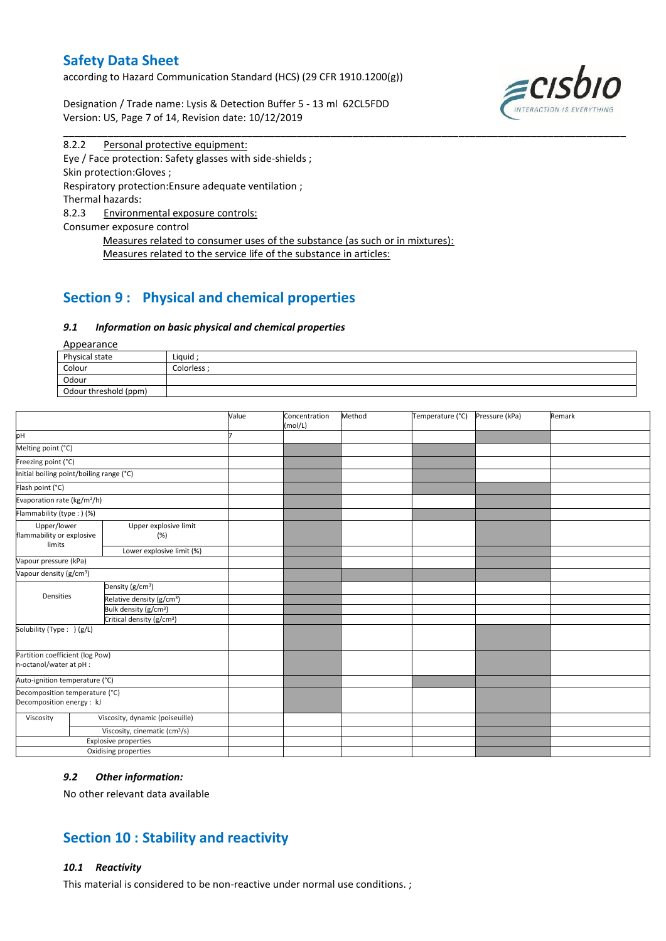according to Hazard Communication Standard (HCS) (29 CFR 1910.1200(g))

Designation / Trade name: Lysis & Detection Buffer 5 - 13 ml 62CL5FDD Version: US, Page 7 of 14, Revision date: 10/12/2019



8.2.2 Personal protective equipment: Eye / Face protection: Safety glasses with side-shields ; Skin protection:Gloves ; Respiratory protection:Ensure adequate ventilation ; Thermal hazards: 8.2.3 Environmental exposure controls: Consumer exposure control Measures related to consumer uses of the substance (as such or in mixtures): Measures related to the service life of the substance in articles:

## **Section 9 : Physical and chemical properties**

#### *9.1 Information on basic physical and chemical properties*

| <b>Appearance</b>     |            |
|-----------------------|------------|
| Physical state        | Liquid     |
| Colour                | Colorless: |
| Odour                 |            |
| Odour threshold (ppm) |            |

\_\_\_\_\_\_\_\_\_\_\_\_\_\_\_\_\_\_\_\_\_\_\_\_\_\_\_\_\_\_\_\_\_\_\_\_\_\_\_\_\_\_\_\_\_\_\_\_\_\_\_\_\_\_\_\_\_\_\_\_\_\_\_\_\_\_\_\_\_\_\_\_\_\_\_\_\_\_\_\_\_\_\_\_\_\_\_\_\_\_\_\_\_\_\_\_\_\_\_\_\_

|                                                             |                                           | Value | Concentration<br>(mol/L) | Method | Temperature (°C) | Pressure (kPa) | Remark |
|-------------------------------------------------------------|-------------------------------------------|-------|--------------------------|--------|------------------|----------------|--------|
| pH                                                          |                                           |       |                          |        |                  |                |        |
| Melting point (°C)                                          |                                           |       |                          |        |                  |                |        |
| Freezing point (°C)                                         |                                           |       |                          |        |                  |                |        |
| Initial boiling point/boiling range (°C)                    |                                           |       |                          |        |                  |                |        |
| Flash point (°C)                                            |                                           |       |                          |        |                  |                |        |
| Evaporation rate (kg/m <sup>2</sup> /h)                     |                                           |       |                          |        |                  |                |        |
| Flammability (type:) (%)                                    |                                           |       |                          |        |                  |                |        |
| Upper/lower<br>flammability or explosive<br>limits          | Upper explosive limit<br>(%)              |       |                          |        |                  |                |        |
|                                                             | Lower explosive limit (%)                 |       |                          |        |                  |                |        |
| Vapour pressure (kPa)                                       |                                           |       |                          |        |                  |                |        |
| Vapour density (g/cm <sup>3</sup> )                         |                                           |       |                          |        |                  |                |        |
|                                                             | Density (g/cm <sup>3</sup> )              |       |                          |        |                  |                |        |
| Densities                                                   | Relative density (g/cm <sup>3</sup> )     |       |                          |        |                  |                |        |
|                                                             | Bulk density (g/cm <sup>3</sup> )         |       |                          |        |                  |                |        |
|                                                             | Critical density (g/cm <sup>3</sup> )     |       |                          |        |                  |                |        |
| Solubility (Type: ) (g/L)                                   |                                           |       |                          |        |                  |                |        |
| Partition coefficient (log Pow)<br>n-octanol/water at pH :  |                                           |       |                          |        |                  |                |        |
| Auto-ignition temperature (°C)                              |                                           |       |                          |        |                  |                |        |
| Decomposition temperature (°C)<br>Decomposition energy : kJ |                                           |       |                          |        |                  |                |        |
| Viscosity                                                   | Viscosity, dynamic (poiseuille)           |       |                          |        |                  |                |        |
|                                                             | Viscosity, cinematic (cm <sup>3</sup> /s) |       |                          |        |                  |                |        |
|                                                             | <b>Explosive properties</b>               |       |                          |        |                  |                |        |
|                                                             | Oxidising properties                      |       |                          |        |                  |                |        |

### *9.2 Other information:*

No other relevant data available

## **Section 10 : Stability and reactivity**

### *10.1 Reactivity*

This material is considered to be non-reactive under normal use conditions. ;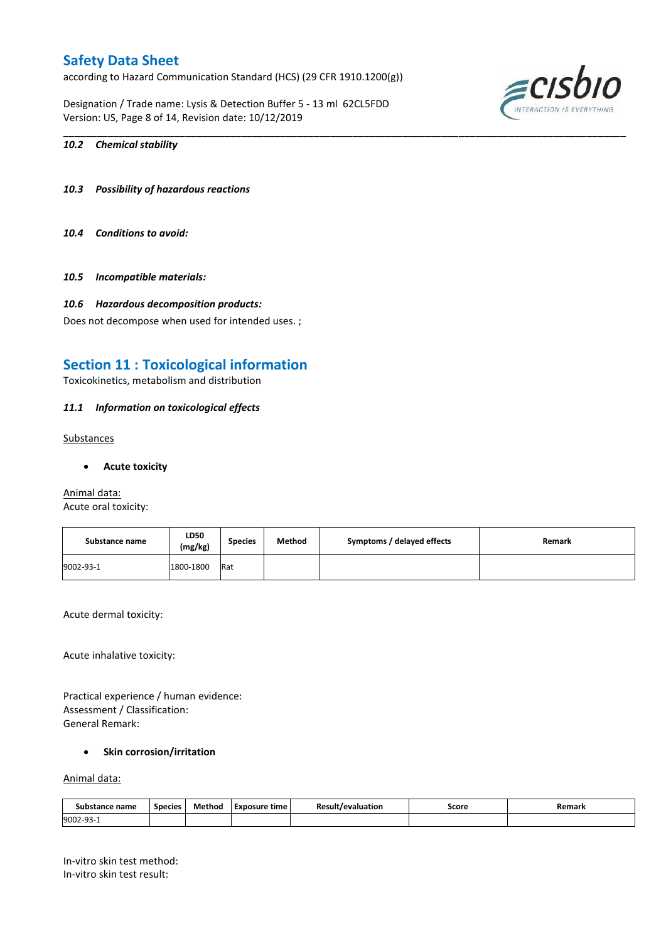according to Hazard Communication Standard (HCS) (29 CFR 1910.1200(g))

Designation / Trade name: Lysis & Detection Buffer 5 - 13 ml 62CL5FDD Version: US, Page 8 of 14, Revision date: 10/12/2019



### *10.2 Chemical stability*

- *10.3 Possibility of hazardous reactions*
- *10.4 Conditions to avoid:*
- *10.5 Incompatible materials:*

#### *10.6 Hazardous decomposition products:*

Does not decompose when used for intended uses. ;

## **Section 11 : Toxicological information**

Toxicokinetics, metabolism and distribution

#### *11.1 Information on toxicological effects*

**Substances** 

**Acute toxicity**

Animal data: Acute oral toxicity:

| Substance name | LD50<br>(mg/kg) | <b>Species</b> | Method | Symptoms / delayed effects | Remark |
|----------------|-----------------|----------------|--------|----------------------------|--------|
| 9002-93-1      | 1800-1800       | Rat            |        |                            |        |

\_\_\_\_\_\_\_\_\_\_\_\_\_\_\_\_\_\_\_\_\_\_\_\_\_\_\_\_\_\_\_\_\_\_\_\_\_\_\_\_\_\_\_\_\_\_\_\_\_\_\_\_\_\_\_\_\_\_\_\_\_\_\_\_\_\_\_\_\_\_\_\_\_\_\_\_\_\_\_\_\_\_\_\_\_\_\_\_\_\_\_\_\_\_\_\_\_\_\_\_\_

Acute dermal toxicity:

Acute inhalative toxicity:

Practical experience / human evidence: Assessment / Classification: General Remark:

## **Skin corrosion/irritation**

### Animal data:

| Substance .<br>ance name | Species | Method | Exposure time | <b>Result/evaluation</b><br>. | Score<br>. | Remark |
|--------------------------|---------|--------|---------------|-------------------------------|------------|--------|
| 9002-93-<br>⊥ ب          |         |        |               |                               |            |        |

In-vitro skin test method: In-vitro skin test result: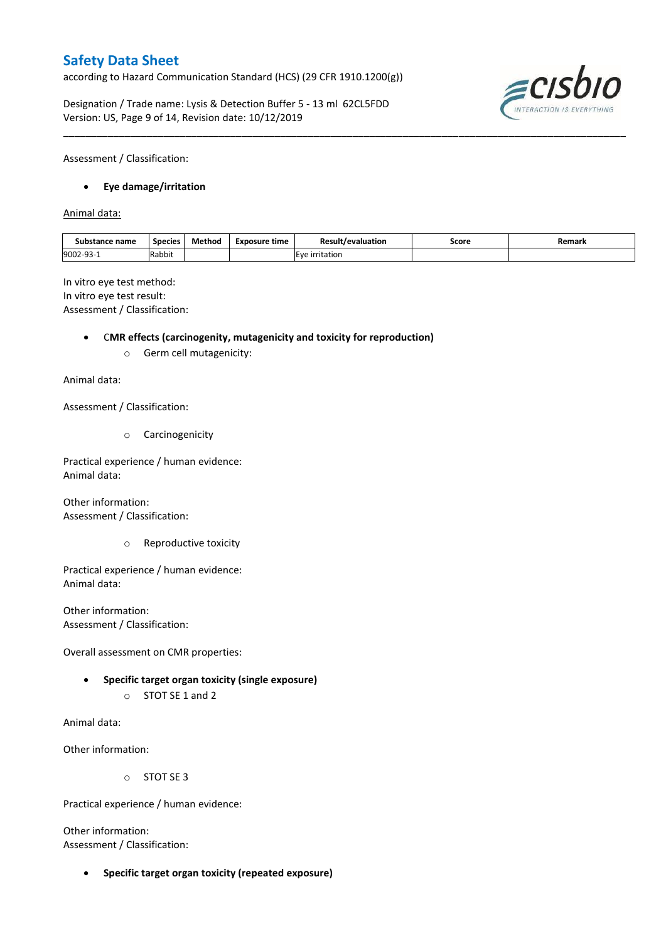according to Hazard Communication Standard (HCS) (29 CFR 1910.1200(g))

Designation / Trade name: Lysis & Detection Buffer 5 - 13 ml 62CL5FDD Version: US, Page 9 of 14, Revision date: 10/12/2019



Assessment / Classification:

### **Eye damage/irritation**

Animal data:

| Substance name | <b>Species</b> | Method | Exposure time<br>__ | <b>Result/evaluation</b><br>. | Score<br>. | Remark |
|----------------|----------------|--------|---------------------|-------------------------------|------------|--------|
| 9002-93-       | Rabbit         |        |                     | E<br>ïtatior                  |            |        |

\_\_\_\_\_\_\_\_\_\_\_\_\_\_\_\_\_\_\_\_\_\_\_\_\_\_\_\_\_\_\_\_\_\_\_\_\_\_\_\_\_\_\_\_\_\_\_\_\_\_\_\_\_\_\_\_\_\_\_\_\_\_\_\_\_\_\_\_\_\_\_\_\_\_\_\_\_\_\_\_\_\_\_\_\_\_\_\_\_\_\_\_\_\_\_\_\_\_\_\_\_

In vitro eye test method: In vitro eye test result: Assessment / Classification:

C**MR effects (carcinogenity, mutagenicity and toxicity for reproduction)**

o Germ cell mutagenicity:

Animal data:

Assessment / Classification:

o Carcinogenicity

Practical experience / human evidence: Animal data:

Other information: Assessment / Classification:

o Reproductive toxicity

Practical experience / human evidence: Animal data:

Other information: Assessment / Classification:

Overall assessment on CMR properties:

- **Specific target organ toxicity (single exposure)**
	- o STOT SE 1 and 2

Animal data:

Other information:

o STOT SE 3

Practical experience / human evidence:

Other information: Assessment / Classification:

**Specific target organ toxicity (repeated exposure)**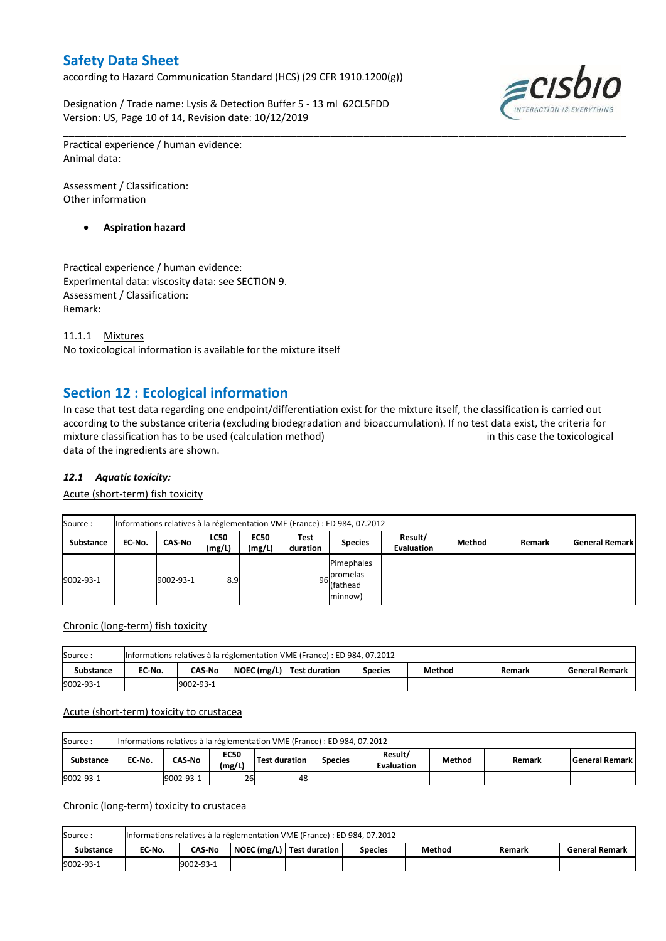according to Hazard Communication Standard (HCS) (29 CFR 1910.1200(g))

Designation / Trade name: Lysis & Detection Buffer 5 - 13 ml 62CL5FDD Version: US, Page 10 of 14, Revision date: 10/12/2019



Practical experience / human evidence: Animal data:

Assessment / Classification: Other information

**Aspiration hazard**

Practical experience / human evidence: Experimental data: viscosity data: see SECTION 9. Assessment / Classification: Remark:

11.1.1 Mixtures No toxicological information is available for the mixture itself

## **Section 12 : Ecological information**

In case that test data regarding one endpoint/differentiation exist for the mixture itself, the classification is carried out according to the substance criteria (excluding biodegradation and bioaccumulation). If no test data exist, the criteria for mixture classification has to be used (calculation method) in this case the toxicological data of the ingredients are shown.

\_\_\_\_\_\_\_\_\_\_\_\_\_\_\_\_\_\_\_\_\_\_\_\_\_\_\_\_\_\_\_\_\_\_\_\_\_\_\_\_\_\_\_\_\_\_\_\_\_\_\_\_\_\_\_\_\_\_\_\_\_\_\_\_\_\_\_\_\_\_\_\_\_\_\_\_\_\_\_\_\_\_\_\_\_\_\_\_\_\_\_\_\_\_\_\_\_\_\_\_\_

## *12.1 Aquatic toxicity:*

Acute (short-term) fish toxicity

| Source:          | Informations relatives à la réglementation VME (France) : ED 984, 07.2012 |           |                       |                       |                  |                                                  |                              |        |        |                       |  |  |
|------------------|---------------------------------------------------------------------------|-----------|-----------------------|-----------------------|------------------|--------------------------------------------------|------------------------------|--------|--------|-----------------------|--|--|
| <b>Substance</b> | EC No.                                                                    | CAS-No    | <b>LC50</b><br>(mg/L) | <b>EC50</b><br>(mg/L) | Test<br>duration | <b>Species</b>                                   | Result/<br><b>Evaluation</b> | Method | Remark | <b>General Remark</b> |  |  |
| 9002-93-1        |                                                                           | 9002-93-1 | 8.9                   |                       |                  | Pimephales<br>96 promelas<br>(fathead<br>minnow) |                              |        |        |                       |  |  |

#### Chronic (long-term) fish toxicity

| Source :         | Informations relatives à la réglementation VME (France) : ED 984, 07.2012 |                                                                                                                           |  |  |  |  |  |  |  |  |  |
|------------------|---------------------------------------------------------------------------|---------------------------------------------------------------------------------------------------------------------------|--|--|--|--|--|--|--|--|--|
| <b>Substance</b> | EC No.                                                                    | $\vert$ NOEC (mg/L) $\vert$ Test duration<br>Method<br><b>CAS-No</b><br><b>General Remark</b><br><b>Species</b><br>Remark |  |  |  |  |  |  |  |  |  |
| 9002-93-1        |                                                                           | 9002-93-1                                                                                                                 |  |  |  |  |  |  |  |  |  |

#### Acute (short-term) toxicity to crustacea

| Source:<br>Informations relatives à la réglementation VME (France) : ED 984, 07.2012 |                                                                                                                                                                      |           |    |    |  |  |  |  |  |  |
|--------------------------------------------------------------------------------------|----------------------------------------------------------------------------------------------------------------------------------------------------------------------|-----------|----|----|--|--|--|--|--|--|
| Substance                                                                            | Result/<br><b>EC50</b><br><b>CAS-No</b><br><b>Test duration</b><br>EC-No.<br>  General Remark  <br>Method<br><b>Species</b><br>Remark<br>(mg/L)<br><b>Evaluation</b> |           |    |    |  |  |  |  |  |  |
| 9002-93-1                                                                            |                                                                                                                                                                      | 9002-93-1 | 26 | 48 |  |  |  |  |  |  |

### Chronic (long-term) toxicity to crustacea

| Source:   | Informations relatives à la réglementation VME (France) : ED 984, 07.2012 |                                                                                                             |  |  |  |  |  |  |  |  |  |
|-----------|---------------------------------------------------------------------------|-------------------------------------------------------------------------------------------------------------|--|--|--|--|--|--|--|--|--|
| Substance | EC No.                                                                    | NOEC (mg/L)   Test duration<br>Method<br><b>CAS-No</b><br><b>General Remark</b><br><b>Species</b><br>Remark |  |  |  |  |  |  |  |  |  |
| 9002-93-1 | 9002-93-1                                                                 |                                                                                                             |  |  |  |  |  |  |  |  |  |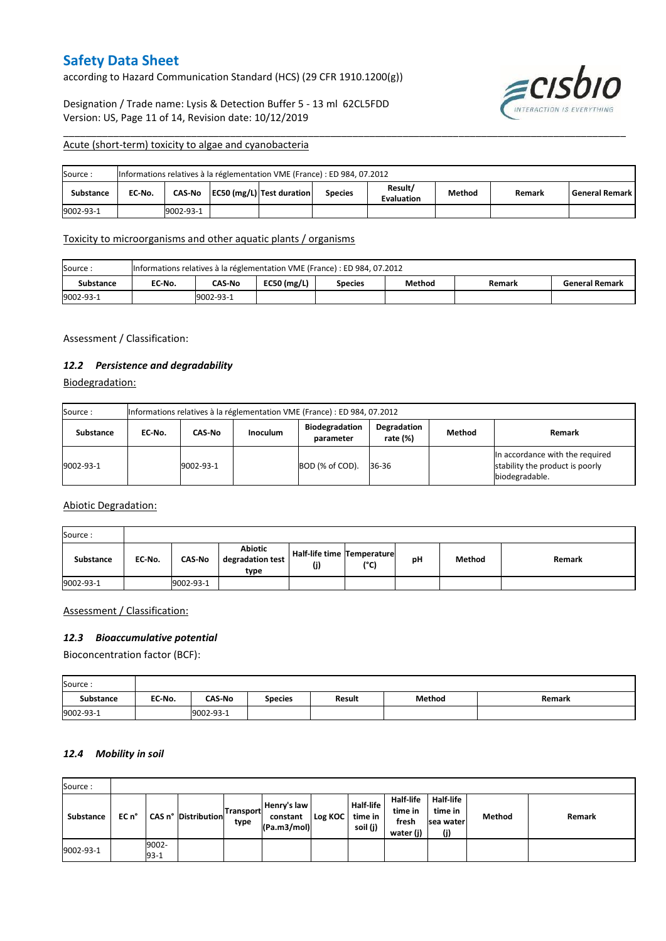according to Hazard Communication Standard (HCS) (29 CFR 1910.1200(g))

Designation / Trade name: Lysis & Detection Buffer 5 - 13 ml 62CL5FDD Version: US, Page 11 of 14, Revision date: 10/12/2019



#### Acute (short-term) toxicity to algae and cyanobacteria

| Source:          | Informations relatives à la réglementation VME (France) : ED 984, 07.2012                                                                    |           |  |  |  |  |  |  |  |  |  |
|------------------|----------------------------------------------------------------------------------------------------------------------------------------------|-----------|--|--|--|--|--|--|--|--|--|
| <b>Substance</b> | Result/<br>EC50 (mg/L) Test duration<br><b>General Remark</b><br>CAS-No<br>EC No.<br>Method<br><b>Species</b><br>Remark<br><b>Evaluation</b> |           |  |  |  |  |  |  |  |  |  |
| 9002-93-1        |                                                                                                                                              | 9002-93-1 |  |  |  |  |  |  |  |  |  |

\_\_\_\_\_\_\_\_\_\_\_\_\_\_\_\_\_\_\_\_\_\_\_\_\_\_\_\_\_\_\_\_\_\_\_\_\_\_\_\_\_\_\_\_\_\_\_\_\_\_\_\_\_\_\_\_\_\_\_\_\_\_\_\_\_\_\_\_\_\_\_\_\_\_\_\_\_\_\_\_\_\_\_\_\_\_\_\_\_\_\_\_\_\_\_\_\_\_\_\_\_

### Toxicity to microorganisms and other aquatic plants / organisms

| Source:   | Informations relatives à la réglementation VME (France) : ED 984, 07.2012                               |  |  |  |  |  |  |  |  |  |
|-----------|---------------------------------------------------------------------------------------------------------|--|--|--|--|--|--|--|--|--|
| Substance | EC50 $(mg/L)$<br><b>CAS-No</b><br>EC-No.<br>Method<br><b>General Remark</b><br><b>Species</b><br>Remark |  |  |  |  |  |  |  |  |  |
| 9002-93-1 | 9002-93-1                                                                                               |  |  |  |  |  |  |  |  |  |

Assessment / Classification:

## *12.2 Persistence and degradability*

Biodegradation:

| Source:   | Informations relatives à la réglementation VME (France) : ED 984, 07.2012                                                       |           |  |                 |       |  |                                                                                      |  |  |  |  |
|-----------|---------------------------------------------------------------------------------------------------------------------------------|-----------|--|-----------------|-------|--|--------------------------------------------------------------------------------------|--|--|--|--|
| Substance | <b>Biodegradation</b><br>Degradation<br><b>Method</b><br>CAS-No<br><b>Inoculum</b><br>Remark<br>EC No.<br>rate (%)<br>parameter |           |  |                 |       |  |                                                                                      |  |  |  |  |
| 9002-93-1 |                                                                                                                                 | 9002-93-1 |  | BOD (% of COD). | 36-36 |  | In accordance with the required<br>stability the product is poorly<br>biodegradable. |  |  |  |  |

Abiotic Degradation:

| Source:   |        |               |                                     |                                   |      |    |        |        |
|-----------|--------|---------------|-------------------------------------|-----------------------------------|------|----|--------|--------|
| Substance | EC-No. | <b>CAS-No</b> | Abiotic<br>degradation test<br>type | Half-life time Temperature<br>(j) | (°C) | рH | Method | Remark |
| 9002-93-1 |        | 9002-93-1     |                                     |                                   |      |    |        |        |

### Assessment / Classification:

### *12.3 Bioaccumulative potential*

Bioconcentration factor (BCF):

| Source:          |        |               |                |        |        |        |
|------------------|--------|---------------|----------------|--------|--------|--------|
| <b>Substance</b> | EC-No. | <b>CAS-No</b> | <b>Species</b> | Result | Method | Remark |
| 9002-93-1        |        | 9002-93-1     |                |        |        |        |

#### *12.4 Mobility in soil*

| Source:   |       |                 |                     |                          |                                        |         |                                         |                                                   |                                                   |               |        |
|-----------|-------|-----------------|---------------------|--------------------------|----------------------------------------|---------|-----------------------------------------|---------------------------------------------------|---------------------------------------------------|---------------|--------|
| Substance | EC n° |                 | CAS n° Distribution | <b>Transport</b><br>type | Henry's law<br>constant<br>(Pa.m3/mol) | Log KOC | <b>Half-life</b><br>time in<br>soil (j) | <b>Half-life</b><br>time in<br>fresh<br>water (j) | <b>Half-life</b><br>time in<br>Isea waterl<br>(j) | <b>Method</b> | Remark |
| 9002-93-1 |       | 9002-<br>$93-1$ |                     |                          |                                        |         |                                         |                                                   |                                                   |               |        |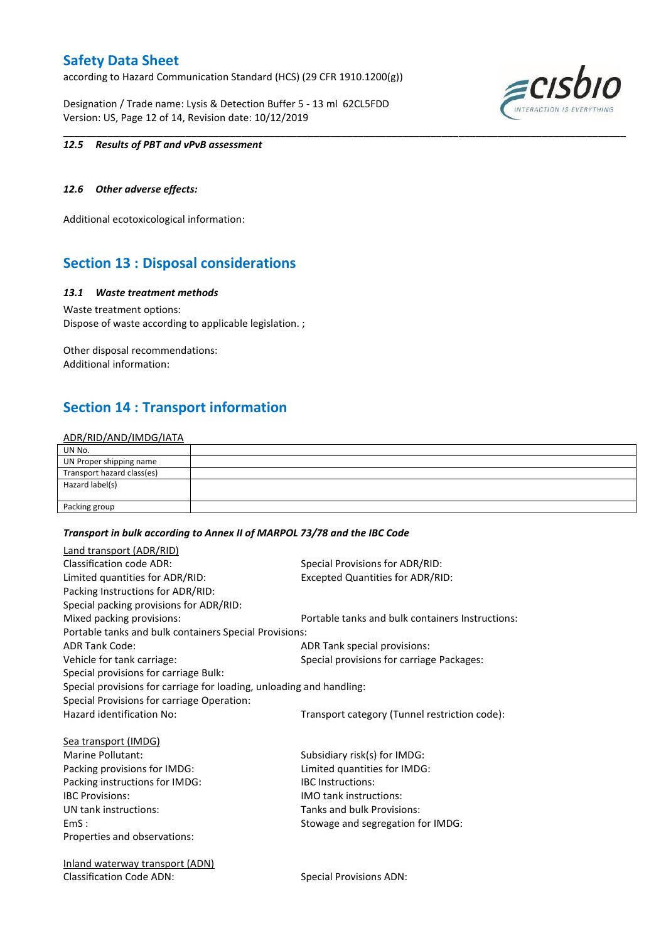according to Hazard Communication Standard (HCS) (29 CFR 1910.1200(g))

Designation / Trade name: Lysis & Detection Buffer 5 - 13 ml 62CL5FDD Version: US, Page 12 of 14, Revision date: 10/12/2019



#### *12.5 Results of PBT and vPvB assessment*

### *12.6 Other adverse effects:*

Additional ecotoxicological information:

## **Section 13 : Disposal considerations**

#### *13.1 Waste treatment methods*

Waste treatment options: Dispose of waste according to applicable legislation. ;

Other disposal recommendations: Additional information:

## **Section 14 : Transport information**

### ADR/RID/AND/IMDG/IATA

| UN No.                     |  |
|----------------------------|--|
| UN Proper shipping name    |  |
| Transport hazard class(es) |  |
| Hazard label(s)            |  |
|                            |  |
| Packing group              |  |

\_\_\_\_\_\_\_\_\_\_\_\_\_\_\_\_\_\_\_\_\_\_\_\_\_\_\_\_\_\_\_\_\_\_\_\_\_\_\_\_\_\_\_\_\_\_\_\_\_\_\_\_\_\_\_\_\_\_\_\_\_\_\_\_\_\_\_\_\_\_\_\_\_\_\_\_\_\_\_\_\_\_\_\_\_\_\_\_\_\_\_\_\_\_\_\_\_\_\_\_\_

#### *Transport in bulk according to Annex II of MARPOL 73/78 and the IBC Code*

| <b>Land transport (ADR/RID)</b>                                      |                                                  |
|----------------------------------------------------------------------|--------------------------------------------------|
| <b>Classification code ADR:</b>                                      | Special Provisions for ADR/RID:                  |
| Limited quantities for ADR/RID:                                      | <b>Excepted Quantities for ADR/RID:</b>          |
| Packing Instructions for ADR/RID:                                    |                                                  |
| Special packing provisions for ADR/RID:                              |                                                  |
| Mixed packing provisions:                                            | Portable tanks and bulk containers Instructions: |
| Portable tanks and bulk containers Special Provisions:               |                                                  |
| <b>ADR Tank Code:</b>                                                | ADR Tank special provisions:                     |
| Vehicle for tank carriage:                                           | Special provisions for carriage Packages:        |
| Special provisions for carriage Bulk:                                |                                                  |
| Special provisions for carriage for loading, unloading and handling: |                                                  |
| Special Provisions for carriage Operation:                           |                                                  |
| Hazard identification No:                                            | Transport category (Tunnel restriction code):    |
| Sea transport (IMDG)                                                 |                                                  |
| Marine Pollutant:                                                    | Subsidiary risk(s) for IMDG:                     |
| Packing provisions for IMDG:                                         | Limited quantities for IMDG:                     |
| Packing instructions for IMDG:                                       | <b>IBC</b> Instructions:                         |
| <b>IBC Provisions:</b>                                               | <b>IMO tank instructions:</b>                    |
| UN tank instructions:                                                | Tanks and bulk Provisions:                       |
| EmS:                                                                 | Stowage and segregation for IMDG:                |
| Properties and observations:                                         |                                                  |
| <u>Inland waterway transport (ADN)</u>                               |                                                  |
| <b>Classification Code ADN:</b>                                      | <b>Special Provisions ADN:</b>                   |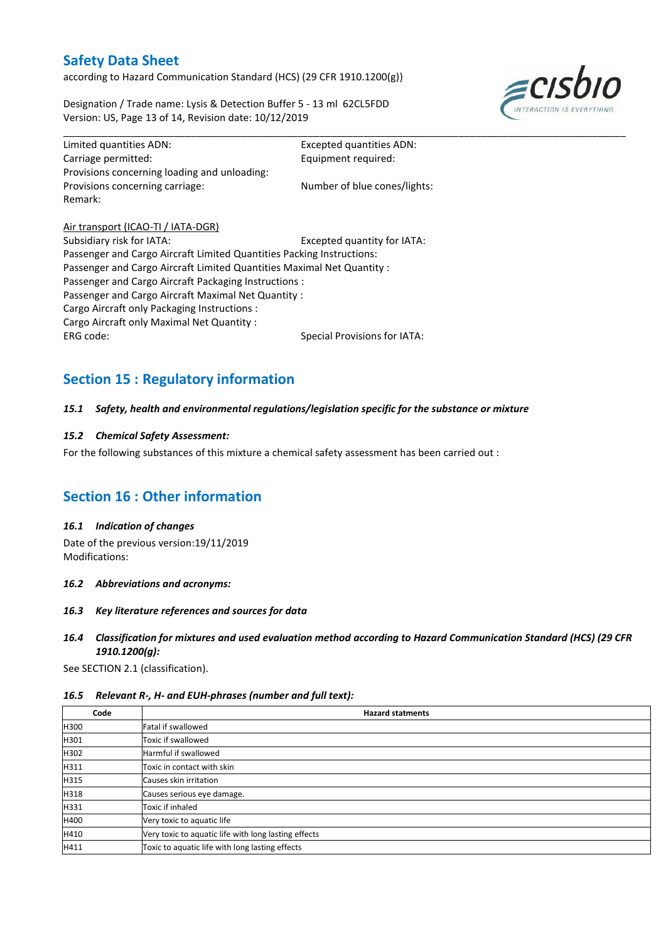according to Hazard Communication Standard (HCS) (29 CFR 1910.1200(g))

Designation / Trade name: Lysis & Detection Buffer 5 - 13 ml 62CL5FDD Version: US, Page 13 of 14, Revision date: 10/12/2019



| Limited quantities ADN:                                                | <b>Excepted quantities ADN:</b> |
|------------------------------------------------------------------------|---------------------------------|
| Carriage permitted:                                                    | Equipment required:             |
| Provisions concerning loading and unloading:                           |                                 |
| Provisions concerning carriage:                                        | Number of blue cones/lights:    |
| Remark:                                                                |                                 |
| Air transport (ICAO-TI / IATA-DGR)                                     |                                 |
| Subsidiary risk for IATA:                                              | Excepted quantity for IATA:     |
| Passenger and Cargo Aircraft Limited Quantities Packing Instructions:  |                                 |
| Passenger and Cargo Aircraft Limited Quantities Maximal Net Quantity : |                                 |
| Passenger and Cargo Aircraft Packaging Instructions:                   |                                 |
| Passenger and Cargo Aircraft Maximal Net Quantity :                    |                                 |
| Cargo Aircraft only Packaging Instructions :                           |                                 |

Cargo Aircraft only Maximal Net Quantity :

ERG code: Special Provisions for IATA:

\_\_\_\_\_\_\_\_\_\_\_\_\_\_\_\_\_\_\_\_\_\_\_\_\_\_\_\_\_\_\_\_\_\_\_\_\_\_\_\_\_\_\_\_\_\_\_\_\_\_\_\_\_\_\_\_\_\_\_\_\_\_\_\_\_\_\_\_\_\_\_\_\_\_\_\_\_\_\_\_\_\_\_\_\_\_\_\_\_\_\_\_\_\_\_\_\_\_\_\_\_

# **Section 15 : Regulatory information**

#### *15.1 Safety, health and environmental regulations/legislation specific for the substance or mixture*

### *15.2 Chemical Safety Assessment:*

For the following substances of this mixture a chemical safety assessment has been carried out :

## **Section 16 : Other information**

#### *16.1 Indication of changes*

Date of the previous version:19/11/2019 Modifications:

#### *16.2 Abbreviations and acronyms:*

#### *16.3 Key literature references and sources for data*

### *16.4 Classification for mixtures and used evaluation method according to Hazard Communication Standard (HCS) (29 CFR 1910.1200(g):*

See SECTION 2.1 (classification).

#### *16.5 Relevant R-, H- and EUH-phrases (number and full text):*

| Code | <b>Hazard statments</b>                              |
|------|------------------------------------------------------|
| H300 | <b>Fatal if swallowed</b>                            |
| H301 | Toxic if swallowed                                   |
| H302 | Harmful if swallowed                                 |
| H311 | Toxic in contact with skin                           |
| H315 | Causes skin irritation                               |
| H318 | Causes serious eye damage.                           |
| H331 | Toxic if inhaled                                     |
| H400 | Very toxic to aquatic life                           |
| H410 | Very toxic to aquatic life with long lasting effects |
| H411 | Toxic to aquatic life with long lasting effects      |